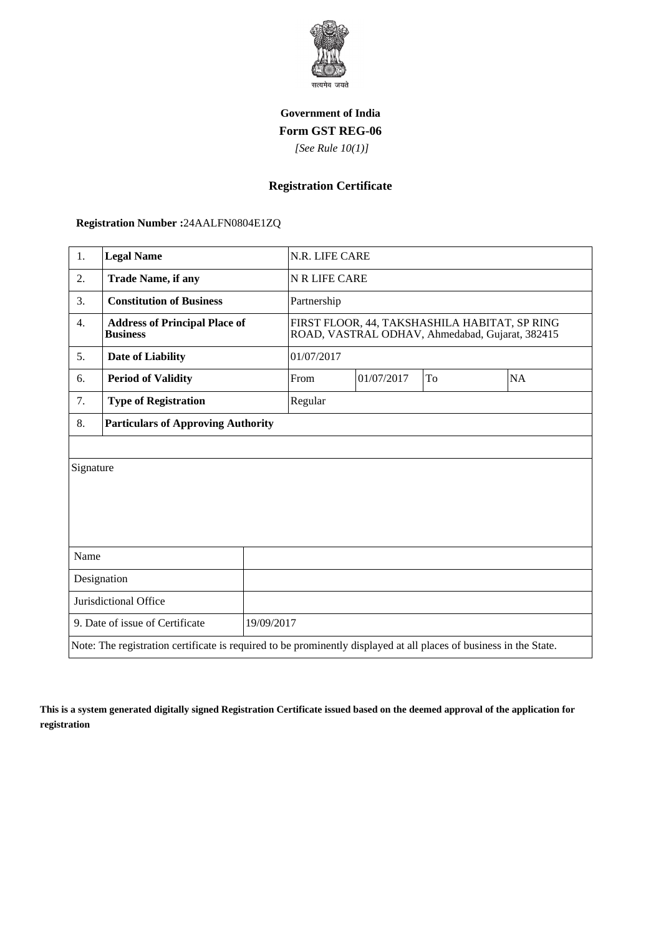

## **Government of India Form GST REG-06**

 *[See Rule 10(1)]*

## **Registration Certificate**

 **Registration Number :**24AALFN0804E1ZQ

| 1.                                                                                                                 | <b>Legal Name</b>                                       |             | N.R. LIFE CARE                                                                                   |    |           |  |
|--------------------------------------------------------------------------------------------------------------------|---------------------------------------------------------|-------------|--------------------------------------------------------------------------------------------------|----|-----------|--|
| 2.                                                                                                                 | <b>Trade Name, if any</b>                               |             | N R LIFE CARE                                                                                    |    |           |  |
| 3.                                                                                                                 | <b>Constitution of Business</b>                         | Partnership |                                                                                                  |    |           |  |
| 4.                                                                                                                 | <b>Address of Principal Place of</b><br><b>Business</b> |             | FIRST FLOOR, 44, TAKSHASHILA HABITAT, SP RING<br>ROAD, VASTRAL ODHAV, Ahmedabad, Gujarat, 382415 |    |           |  |
| 5.                                                                                                                 | <b>Date of Liability</b>                                | 01/07/2017  |                                                                                                  |    |           |  |
| 6.                                                                                                                 | <b>Period of Validity</b>                               | From        | 01/07/2017                                                                                       | To | <b>NA</b> |  |
| 7.                                                                                                                 | <b>Type of Registration</b>                             | Regular     |                                                                                                  |    |           |  |
| 8.                                                                                                                 | <b>Particulars of Approving Authority</b>               |             |                                                                                                  |    |           |  |
|                                                                                                                    |                                                         |             |                                                                                                  |    |           |  |
| Signature                                                                                                          |                                                         |             |                                                                                                  |    |           |  |
|                                                                                                                    |                                                         |             |                                                                                                  |    |           |  |
|                                                                                                                    |                                                         |             |                                                                                                  |    |           |  |
|                                                                                                                    |                                                         |             |                                                                                                  |    |           |  |
| Name                                                                                                               |                                                         |             |                                                                                                  |    |           |  |
| Designation                                                                                                        |                                                         |             |                                                                                                  |    |           |  |
| Jurisdictional Office                                                                                              |                                                         |             |                                                                                                  |    |           |  |
| 9. Date of issue of Certificate                                                                                    |                                                         | 19/09/2017  |                                                                                                  |    |           |  |
| Note: The registration certificate is required to be prominently displayed at all places of business in the State. |                                                         |             |                                                                                                  |    |           |  |

**This is a system generated digitally signed Registration Certificate issued based on the deemed approval of the application for registration**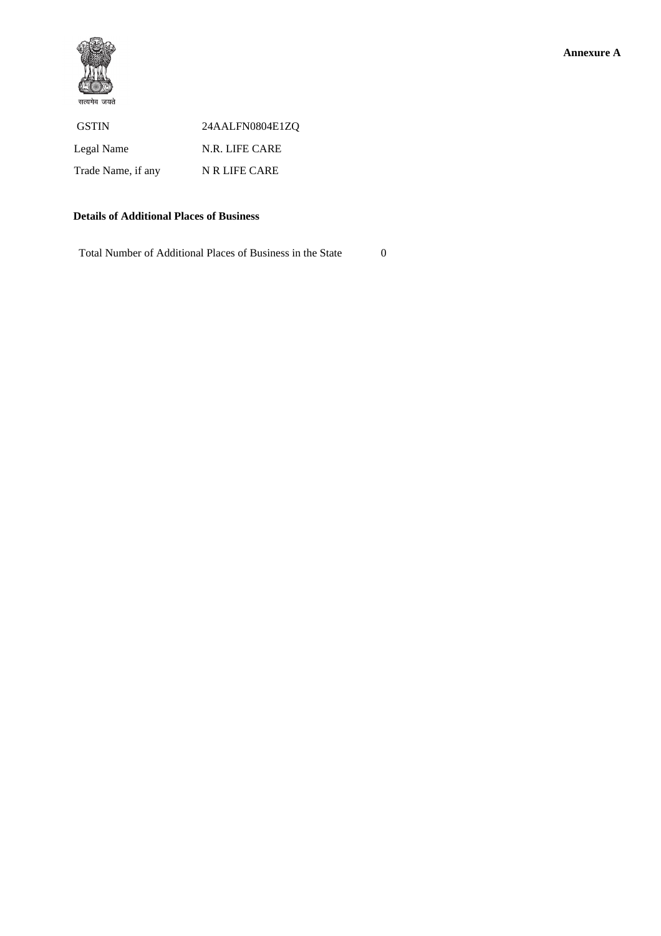

## **Details of Additional Places of Business**

Total Number of Additional Places of Business in the State 0